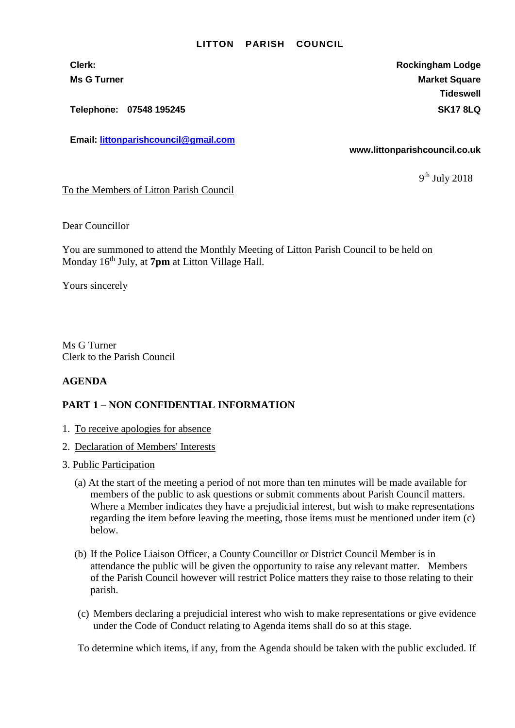#### **LITTON PARISH COUNCIL**

**Email: [littonparishcouncil@gmail.com](mailto:littonparishcouncil@gmail.com)**

**Clerk: Rockingham Lodge Ms G Turner Market Square** Market Square Market Square Market Square Market Square **Tideswell Telephone: 07548 195245 SK17 8LQ**

**www.littonparishcouncil.co.uk**

9<sup>th</sup> July 2018

To the Members of Litton Parish Council

Dear Councillor

You are summoned to attend the Monthly Meeting of Litton Parish Council to be held on Monday 16 th July, at **7pm** at Litton Village Hall.

Yours sincerely

Ms G Turner Clerk to the Parish Council

### **AGENDA**

### **PART 1 – NON CONFIDENTIAL INFORMATION**

- 1. To receive apologies for absence
- 2. Declaration of Members' Interests
- 3. Public Participation
	- (a) At the start of the meeting a period of not more than ten minutes will be made available for members of the public to ask questions or submit comments about Parish Council matters. Where a Member indicates they have a prejudicial interest, but wish to make representations regarding the item before leaving the meeting, those items must be mentioned under item (c) below.
	- (b) If the Police Liaison Officer, a County Councillor or District Council Member is in attendance the public will be given the opportunity to raise any relevant matter. Members of the Parish Council however will restrict Police matters they raise to those relating to their parish.
	- (c) Members declaring a prejudicial interest who wish to make representations or give evidence under the Code of Conduct relating to Agenda items shall do so at this stage.

To determine which items, if any, from the Agenda should be taken with the public excluded. If